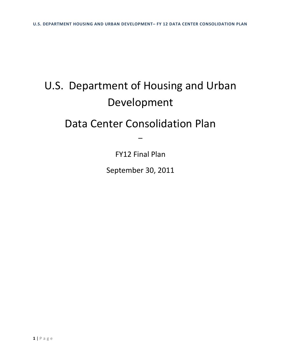# U.S. Department of Housing and Urban Development

# Data Center Consolidation Plan

FY12 Final Plan

–

September 30, 2011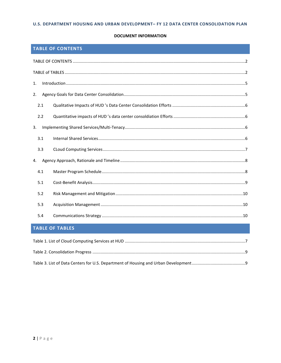#### **DOCUMENT INFORMATION**

# <span id="page-1-0"></span>**TABLE OF CONTENTS**

| 1.  |  |  |  |
|-----|--|--|--|
| 2.  |  |  |  |
| 2.1 |  |  |  |
| 2.2 |  |  |  |
| 3.  |  |  |  |
| 3.1 |  |  |  |
| 3.3 |  |  |  |
| 4.  |  |  |  |
| 4.1 |  |  |  |
| 5.1 |  |  |  |
| 5.2 |  |  |  |
| 5.3 |  |  |  |
| 5.4 |  |  |  |

# <span id="page-1-1"></span>**TABLE OF TABLES**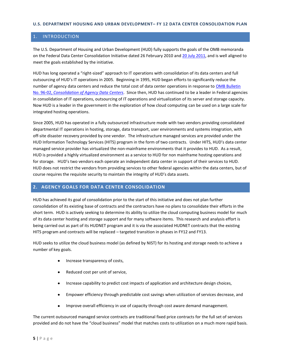#### <span id="page-2-0"></span>1. INTRODUCTION

The U.S. Department of Housing and Urban Development (HUD) fully supports the goals of the OMB memoranda on the Federal Data Center Consolidation Initiative dated 26 February 2010 and [20 July 2011,](http://www.cio.gov/documents/FDCCI-Update-Memo-07202011.pdf) and is well aligned to meet the goals established by the initiative.

HUD has long operated a "right-sized" approach to IT operations with consolidation of its data centers and full outsourcing of HUD's IT operations in 2005. Beginning in 1995, HUD began efforts to significantly reduce the number of agency data centers and reduce the total cost of data center operations in response to [OMB Bulletin](http://www.whitehouse.gov/omb/bulletins_96-02/)  No. 96-02, *[Consolidation of Agency Data Centers](http://www.whitehouse.gov/omb/bulletins_96-02/)*. Since then, HUD has continued to be a leader in Federal agencies in consolidation of IT operations, outsourcing of IT operations and virtualization of its server and storage capacity. Now HUD is a leader in the government in the exploration of how cloud computing can be used on a large scale for integrated hosting operations.

Since 2005, HUD has operated in a fully outsourced infrastructure mode with two vendors providing consolidated departmental IT operations in hosting, storage, data transport, user environments and systems integration, with off-site disaster recovery provided by one vendor. The infrastructure managed services are provided under the HUD Information Technology Services (HITS) program in the form of two contracts. Under HITS, HUD's data center managed service provider has virtualized the non-mainframe environments that it provides to HUD. As a result, HUD is provided a highly virtualized environment as a service to HUD for non mainframe hosting operations and for storage. HUD's two vendors each operate an independent data center in support of their services to HUD. HUD does not restrict the vendors from providing services to other federal agencies within the data centers, but of course requires the requisite security to maintain the integrity of HUD's data assets.

#### <span id="page-2-1"></span>**2. AGENCY GOALS FOR DATA CENTER CONSOLIDATION**

HUD has achieved its goal of consolidation prior to the start of this initiative and does not plan further consolidation of its existing base of contracts and the contractors have no plans to consolidate their efforts in the short term. HUD is actively seeking to determine its ability to utilize the cloud computing business model for much of its data center hosting and storage support and for many software items. This research and analysis effort is being carried out as part of its HUDNET program and it is via the associated HUDNET contracts that the existing HITS program and contracts will be replaced – targeted transition in phases in FY12 and FY13.

HUD seeks to utilize the cloud business model (as defined by NIST) for its hosting and storage needs to achieve a number of key goals.

- Increase transparency of costs,
- Reduced cost per unit of service,  $\bullet$
- Increase capability to predict cost impacts of application and architecture design choices,  $\bullet$
- Empower efficiency through predictable cost savings when utilization of services decrease, and  $\bullet$
- $\bullet$ Improve overall efficiency in use of capacity through cost aware demand management.

The current outsourced managed service contracts are traditional fixed price contracts for the full set of services provided and do not have the "cloud business" model that matches costs to utilization on a much more rapid basis.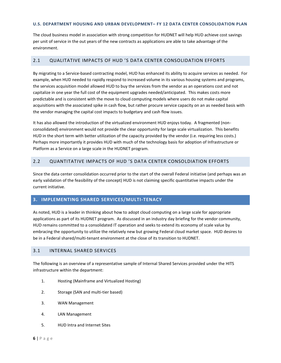The cloud business model in association with strong competition for HUDNET will help HUD achieve cost savings per unit of service in the out years of the new contracts as applications are able to take advantage of the environment.

#### <span id="page-3-0"></span>2.1 QUALITATIVE IMPACTS OF HUD 'S DATA CENTER CONSOLIDATION EFFORTS

By migrating to a Service-based contracting model, HUD has enhanced its ability to acquire services as needed. For example, when HUD needed to rapidly respond to increased volume in its various housing systems and programs, the services acquisition model allowed HUD to buy the services from the vendor as an operations cost and not capitalize in one year the full cost of the equipment upgrades needed/anticipated. This makes costs more predictable and is consistent with the move to cloud computing models where users do not make capital acquisitions with the associated spike in cash flow, but rather procure service capacity on an as needed basis with the vendor managing the capital cost impacts to budgetary and cash flow issues.

It has also allowed the introduction of the virtualized environment HUD enjoys today. A fragmented (nonconsolidated) environment would not provide the clear opportunity for large scale virtualization. This benefits HUD in the short term with better utilization of the capacity provided by the vendor (i.e. requiring less costs.) Perhaps more importantly it provides HUD with much of the technology basis for adoption of Infrastructure or Platform as a Service on a large scale in the HUDNET program.

# <span id="page-3-1"></span>2.2 QUANTITATIVE IMPACTS OF HUD 'S DATA CENTER CONSOLDIATION EFFORTS

Since the data center consolidation occurred prior to the start of the overall Federal initiative (and perhaps was an early validation of the feasibility of the concept) HUD is not claiming specific quantitative impacts under the current initiative.

## <span id="page-3-2"></span>**3. IMPLEMENTING SHARED SERVICES/MULTI-TENACY**

As noted, HUD is a leader in thinking about how to adopt cloud computing on a large scale for appropriate applications as part of its HUDNET program. As discussed in an industry day briefing for the vendor community, HUD remains committed to a consolidated IT operation and seeks to extend its economy of scale value by embracing the opportunity to utilize the relatively new but growing Federal cloud market space. HUD desires to be in a Federal shared/multi-tenant environment at the close of its transition to HUDNET.

#### <span id="page-3-3"></span>3.1 INTERNAL SHARED SERVICES

The following is an overview of a representative sample of Internal Shared Services provided under the HITS infrastructure within the department:

- 1. Hosting (Mainframe and Virtualized Hosting)
- 2. Storage (SAN and multi-tier based)
- 3. WAN Management
- 4. LAN Management
- 5. HUD Intra and Internet Sites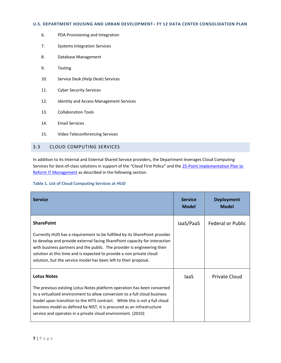- 6. PDA Provisioning and Integration
- 7. Systems Integration Services
- 8. Database Management
- 9. Testing
- 10. Service Desk (Help Desk) Services
- 11. Cyber Security Services
- 12. Identity and Access Management Services
- 13. Collaboration Tools
- 14. Email Services
- 15. Video Teleconferencing Services

#### <span id="page-4-0"></span>3.3 CLOUD COMPUTING SERVICES

In addition to its Internal and External Shared Service providers, the Department leverages Cloud Computing Services for best-of-class solutions in support of the "Cloud First Policy" and the 25-Point Implementation Plan to [Reform IT Management](http://www.cio.gov/documents/25-Point-Implementation-Plan-to-Reform-Federal%20IT.pdf) as described in the following section.

#### <span id="page-4-1"></span>**Table 1. List of Cloud Computing Services at HUD**

| <b>Service</b>                                                                                                                                                                                                                                                                                                                                                                                        | <b>Service</b><br><b>Model</b> | <b>Deployment</b><br><b>Model</b> |
|-------------------------------------------------------------------------------------------------------------------------------------------------------------------------------------------------------------------------------------------------------------------------------------------------------------------------------------------------------------------------------------------------------|--------------------------------|-----------------------------------|
| <b>SharePoint</b><br>Currently HUD has a requirement to be fulfilled by its SharePoint provider<br>to develop and provide external facing SharePoint capacity for interaction<br>with business partners and the public. The provider is engineering their<br>solution at this time and is expected to provide a non private cloud<br>solution, but the service model has been left to their proposal. | laaS/PaaS                      | <b>Federal or Public</b>          |
| <b>Lotus Notes</b><br>The previous existing Lotus Notes platform operation has been converted<br>to a virtualized environment to allow conversion to a full cloud business<br>model upon transition to the HITS contract. While this is not a full cloud<br>business model as defined by NIST, it is procured as an infrastructure<br>service and operates in a private cloud environment. (2010)     | laaS                           | <b>Private Cloud</b>              |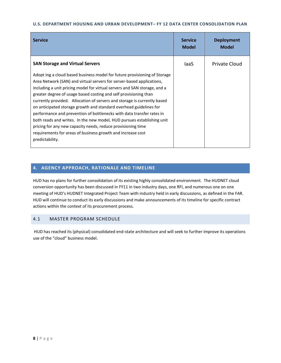| <b>Service</b>                                                                                                                                                                                                                                                                                                                                                                                                                                                                                                                                                                                                                                                                                                                                             | <b>Service</b><br><b>Model</b> | <b>Deployment</b><br><b>Model</b> |
|------------------------------------------------------------------------------------------------------------------------------------------------------------------------------------------------------------------------------------------------------------------------------------------------------------------------------------------------------------------------------------------------------------------------------------------------------------------------------------------------------------------------------------------------------------------------------------------------------------------------------------------------------------------------------------------------------------------------------------------------------------|--------------------------------|-----------------------------------|
| <b>SAN Storage and Virtual Servers</b>                                                                                                                                                                                                                                                                                                                                                                                                                                                                                                                                                                                                                                                                                                                     | laaS                           | <b>Private Cloud</b>              |
| Adopt ing a cloud based business model for future provisioning of Storage<br>Area Network (SAN) and virtual servers for server-based applications,<br>including a unit pricing model for virtual servers and SAN storage, and a<br>greater degree of usage based costing and self provisioning than<br>currently provided. Allocation of servers and storage is currently based<br>on anticipated storage growth and standard overhead guidelines for<br>performance and prevention of bottlenecks with data transfer rates in<br>both reads and writes. In the new model, HUD pursues establishing unit<br>pricing for any new capacity needs, reduce provisioning time<br>requirements for areas of business growth and increase cost<br>predictability. |                                |                                   |

# <span id="page-5-0"></span>**4. AGENCY APPROACH, RATIONALE AND TIMELINE**

HUD has no plans for further consolidation of its existing highly consolidated environment. The HUDNET cloud conversion opportunity has been discussed in FY11 in two industry days, one RFI, and numerous one on one meeting of HUD's HUDNET Integrated Project Team with industry held in early discussions, as defined in the FAR. HUD will continue to conduct its early discussions and make announcements of its timeline for specific contract actions within the context of its procurement process.

# <span id="page-5-1"></span>4.1 MASTER PROGRAM SCHEDULE

<span id="page-5-2"></span>HUD has reached its (physical) consolidated end-state architecture and will seek to further improve its operations use of the "cloud" business model.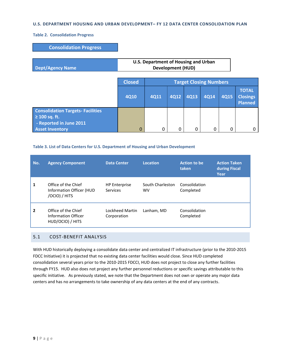#### **Table 2. Consolidation Progress**

| <b>Consolidation Progress</b>                                                                                       |                                                                  |                               |      |             |             |      |                                                   |
|---------------------------------------------------------------------------------------------------------------------|------------------------------------------------------------------|-------------------------------|------|-------------|-------------|------|---------------------------------------------------|
| <b>Dept/Agency Name</b>                                                                                             | U.S. Department of Housing and Urban<br><b>Development (HUD)</b> |                               |      |             |             |      |                                                   |
|                                                                                                                     | <b>Closed</b>                                                    | <b>Target Closing Numbers</b> |      |             |             |      |                                                   |
|                                                                                                                     | <b>4Q10</b>                                                      | <b>4Q11</b>                   | 4Q12 | <b>4Q13</b> | <b>4Q14</b> | 4Q15 | <b>TOTAL</b><br><b>Closings</b><br><b>Planned</b> |
| <b>Consolidation Targets- Facilities</b><br>$\geq 100$ sq. ft.<br>- Reported in June 2011<br><b>Asset Inventory</b> | 0                                                                | 0                             | 0    | 0           | 0           | 0    | O                                                 |

#### <span id="page-6-1"></span>**Table 3. List of Data Centers for U.S. Department of Housing and Urban Development**

| No.          | <b>Agency Component</b>                                          | <b>Data Center</b>               | <b>Location</b>               | <b>Action to be</b><br>taken | <b>Action Taken</b><br>during Fiscal<br>Year |
|--------------|------------------------------------------------------------------|----------------------------------|-------------------------------|------------------------------|----------------------------------------------|
|              | Office of the Chief<br>Information Officer (HUD<br>/OCIO) / HITS | <b>HP Enterprise</b><br>Services | South Charleston<br><b>WV</b> | Consolidation<br>Completed   |                                              |
| $\mathbf{2}$ | Office of the Chief<br>Information Officer<br>HUD/OCIO) / HITS   | Lockheed Martin<br>Corporation   | Lanham, MD                    | Consolidation<br>Completed   |                                              |

# <span id="page-6-0"></span>5.1 COST-BENEFIT ANALYSIS

With HUD historically deploying a consolidate data center and centralized IT infrastructure (prior to the 2010-2015 FDCC Initiative) it is projected that no existing data center facilities would close. Since HUD completed consolidation several years prior to the 2010-2015 FDCCI, HUD does not project to close any further facilities through FY15. HUD also does not project any further personnel reductions or specific savings attributable to this specific initiative. As previously stated, we note that the Department does not own or operate any major data centers and has no arrangements to take ownership of any data centers at the end of any contracts.